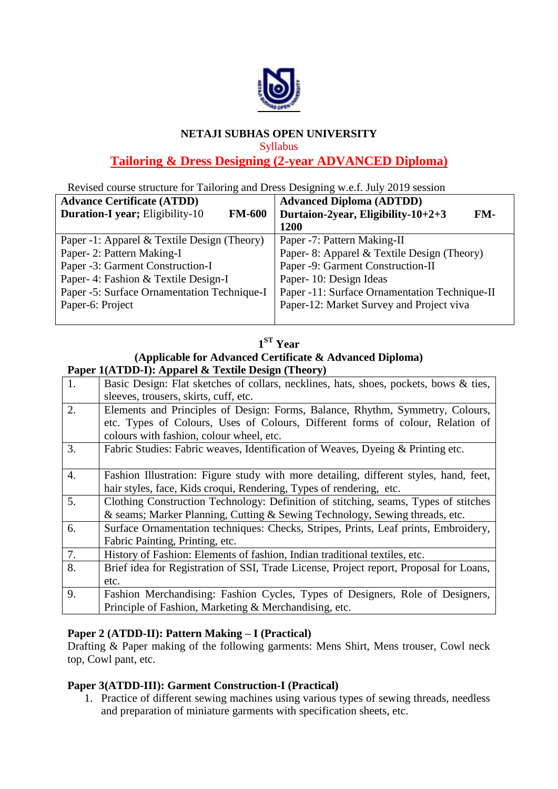

### **NETAJI SUBHAS OPEN UNIVERSITY**

Syllabus

## **Tailoring & Dress Designing (2-year ADVANCED Diploma)**

Revised course structure for Tailoring and Dress Designing w.e.f. July 2019 session

|                                                         | -------                                       |
|---------------------------------------------------------|-----------------------------------------------|
| <b>Advance Certificate (ATDD)</b>                       | <b>Advanced Diploma (ADTDD)</b>               |
| <b>Duration-I year; Eligibility-10</b><br><b>FM-600</b> | Durtaion-2year, Eligibility-10+2+3<br>FM-     |
|                                                         | 1200                                          |
| Paper -1: Apparel & Textile Design (Theory)             | Paper -7: Pattern Making-II                   |
| Paper- 2: Pattern Making-I                              | Paper- 8: Apparel & Textile Design (Theory)   |
| Paper -3: Garment Construction-I                        | Paper -9: Garment Construction-II             |
| Paper- 4: Fashion & Textile Design-I                    | Paper- 10: Design Ideas                       |
| Paper -5: Surface Ornamentation Technique-I             | Paper -11: Surface Ornamentation Technique-II |
| Paper-6: Project                                        | Paper-12: Market Survey and Project viva      |
|                                                         |                                               |

| ۳Я |
|----|
|    |

### **(Applicable for Advanced Certificate & Advanced Diploma) Paper 1(ATDD-I): Apparel & Textile Design (Theory)**

|    | $\bf{1}$ aper $\bf{1}$ (ATDD-1). Apparente to Textile Design (Theory)                  |
|----|----------------------------------------------------------------------------------------|
| 1. | Basic Design: Flat sketches of collars, necklines, hats, shoes, pockets, bows & ties,  |
|    | sleeves, trousers, skirts, cuff, etc.                                                  |
| 2. | Elements and Principles of Design: Forms, Balance, Rhythm, Symmetry, Colours,          |
|    | etc. Types of Colours, Uses of Colours, Different forms of colour, Relation of         |
|    | colours with fashion, colour wheel, etc.                                               |
| 3. | Fabric Studies: Fabric weaves, Identification of Weaves, Dyeing & Printing etc.        |
|    |                                                                                        |
| 4. | Fashion Illustration: Figure study with more detailing, different styles, hand, feet,  |
|    | hair styles, face, Kids croqui, Rendering, Types of rendering, etc.                    |
| 5. | Clothing Construction Technology: Definition of stitching, seams, Types of stitches    |
|    | & seams; Marker Planning, Cutting & Sewing Technology, Sewing threads, etc.            |
| 6. | Surface Ornamentation techniques: Checks, Stripes, Prints, Leaf prints, Embroidery,    |
|    | Fabric Painting, Printing, etc.                                                        |
| 7. | History of Fashion: Elements of fashion, Indian traditional textiles, etc.             |
| 8. | Brief idea for Registration of SSI, Trade License, Project report, Proposal for Loans, |
|    | etc.                                                                                   |
| 9. | Fashion Merchandising: Fashion Cycles, Types of Designers, Role of Designers,          |
|    | Principle of Fashion, Marketing & Merchandising, etc.                                  |

### **Paper 2 (ATDD-II): Pattern Making – I (Practical)**

Drafting & Paper making of the following garments: Mens Shirt, Mens trouser, Cowl neck top, Cowl pant, etc.

### **Paper 3(ATDD-III): Garment Construction-I (Practical)**

1. Practice of different sewing machines using various types of sewing threads, needless and preparation of miniature garments with specification sheets, etc.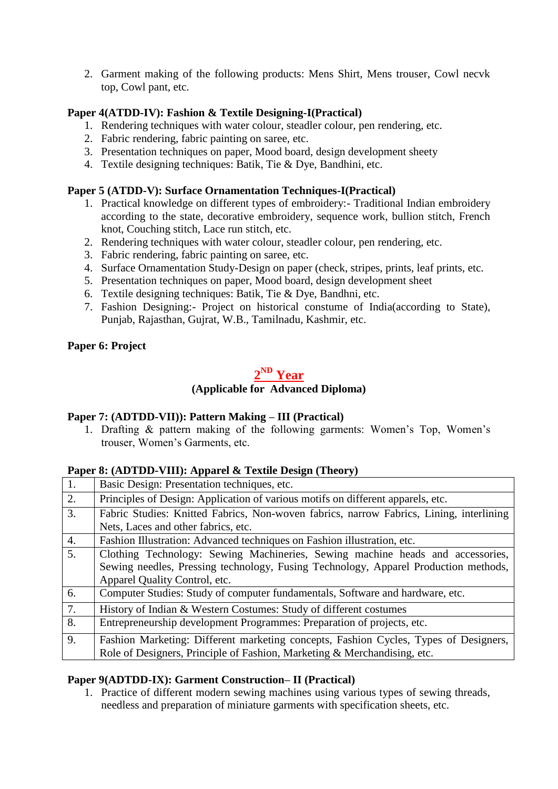2. Garment making of the following products: Mens Shirt, Mens trouser, Cowl necvk top, Cowl pant, etc.

### **Paper 4(ATDD-IV): Fashion & Textile Designing-I(Practical)**

- 1. Rendering techniques with water colour, steadler colour, pen rendering, etc.
- 2. Fabric rendering, fabric painting on saree, etc.
- 3. Presentation techniques on paper, Mood board, design development sheety
- 4. Textile designing techniques: Batik, Tie & Dye, Bandhini, etc.

### **Paper 5 (ATDD-V): Surface Ornamentation Techniques-I(Practical)**

- 1. Practical knowledge on different types of embroidery:- Traditional Indian embroidery according to the state, decorative embroidery, sequence work, bullion stitch, French knot, Couching stitch, Lace run stitch, etc.
- 2. Rendering techniques with water colour, steadler colour, pen rendering, etc.
- 3. Fabric rendering, fabric painting on saree, etc.
- 4. Surface Ornamentation Study-Design on paper (check, stripes, prints, leaf prints, etc.
- 5. Presentation techniques on paper, Mood board, design development sheet
- 6. Textile designing techniques: Batik, Tie & Dye, Bandhni, etc.
- 7. Fashion Designing:- Project on historical constume of India(according to State), Punjab, Rajasthan, Gujrat, W.B., Tamilnadu, Kashmir, etc.

### **Paper 6: Project**

# **2 ND Year**

### **(Applicable for Advanced Diploma)**

### **Paper 7: (ADTDD-VII)): Pattern Making – III (Practical)**

1. Drafting & pattern making of the following garments: Women's Top, Women's trouser, Women's Garments, etc.

### **Paper 8: (ADTDD-VIII): Apparel & Textile Design (Theory)**

|    | --------                                                                                |
|----|-----------------------------------------------------------------------------------------|
| 1. | Basic Design: Presentation techniques, etc.                                             |
| 2. | Principles of Design: Application of various motifs on different apparels, etc.         |
| 3. | Fabric Studies: Knitted Fabrics, Non-woven fabrics, narrow Fabrics, Lining, interlining |
|    | Nets, Laces and other fabrics, etc.                                                     |
| 4. | Fashion Illustration: Advanced techniques on Fashion illustration, etc.                 |
| 5. | Clothing Technology: Sewing Machineries, Sewing machine heads and accessories,          |
|    | Sewing needles, Pressing technology, Fusing Technology, Apparel Production methods,     |
|    | Apparel Quality Control, etc.                                                           |
| 6. | Computer Studies: Study of computer fundamentals, Software and hardware, etc.           |
| 7. | History of Indian & Western Costumes: Study of different costumes                       |
| 8. | Entrepreneurship development Programmes: Preparation of projects, etc.                  |
| 9. | Fashion Marketing: Different marketing concepts, Fashion Cycles, Types of Designers,    |
|    | Role of Designers, Principle of Fashion, Marketing & Merchandising, etc.                |

### **Paper 9(ADTDD-IX): Garment Construction– II (Practical)**

1. Practice of different modern sewing machines using various types of sewing threads, needless and preparation of miniature garments with specification sheets, etc.